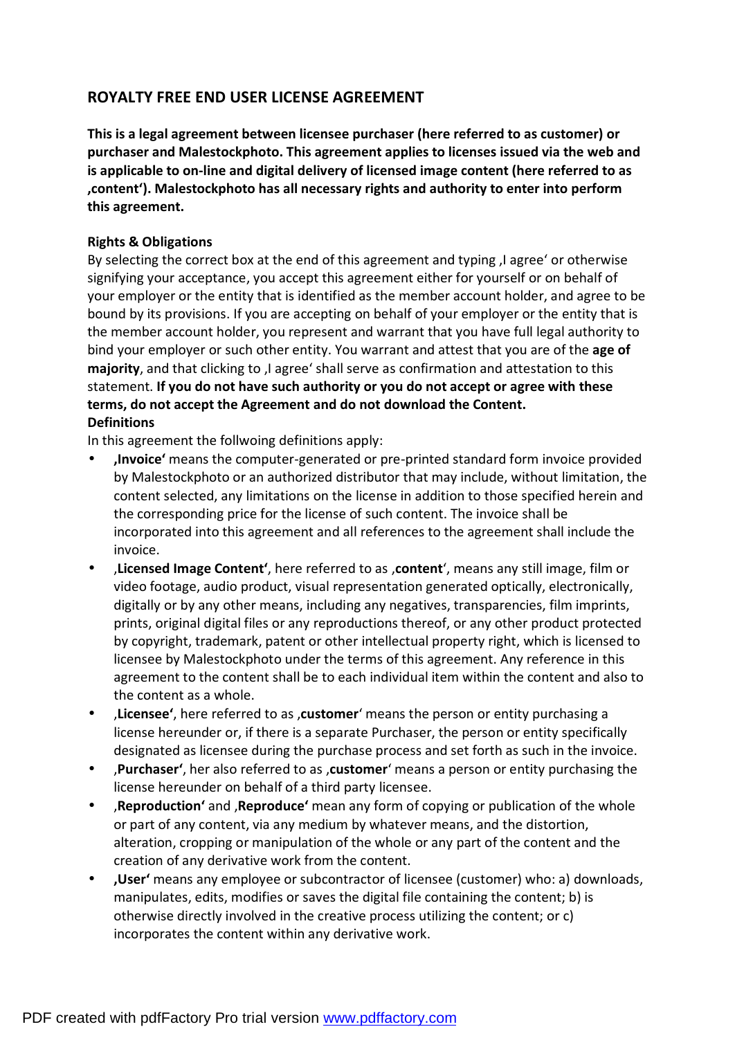# **ROYALTY FREE END USER LICENSE AGREEMENT**

**This is a legal agreement between licensee purchaser (here referred to as customer) or purchaser and Malestockphoto. This agreement applies to licenses issued via the web and is applicable to on-line and digital delivery of licensed image content (here referred to as 'content'). Malestockphoto has all necessary rights and authority to enter into perform this agreement.** 

### **Rights & Obligations**

By selecting the correct box at the end of this agreement and typing I agree' or otherwise signifying your acceptance, you accept this agreement either for yourself or on behalf of your employer or the entity that is identified as the member account holder, and agree to be bound by its provisions. If you are accepting on behalf of your employer or the entity that is the member account holder, you represent and warrant that you have full legal authority to bind your employer or such other entity. You warrant and attest that you are of the **age of majority**, and that clicking to , I agree' shall serve as confirmation and attestation to this statement. **If you do not have such authority or you do not accept or agree with these terms, do not accept the Agreement and do not download the Content. Definitions**

In this agreement the follwoing definitions apply:

- **'Invoice'** means the computer-generated or pre-printed standard form invoice provided by Malestockphoto or an authorized distributor that may include, without limitation, the content selected, any limitations on the license in addition to those specified herein and the corresponding price for the license of such content. The invoice shall be incorporated into this agreement and all references to the agreement shall include the invoice.
- '**Licensed Image Content'**, here referred to as '**content**', means any still image, film or video footage, audio product, visual representation generated optically, electronically, digitally or by any other means, including any negatives, transparencies, film imprints, prints, original digital files or any reproductions thereof, or any other product protected by copyright, trademark, patent or other intellectual property right, which is licensed to licensee by Malestockphoto under the terms of this agreement. Any reference in this agreement to the content shall be to each individual item within the content and also to the content as a whole.
- '**Licensee'**, here referred to as '**customer**' means the person or entity purchasing a license hereunder or, if there is a separate Purchaser, the person or entity specifically designated as licensee during the purchase process and set forth as such in the invoice.
- *Purchaser'*, her also referred to as , customer' means a person or entity purchasing the license hereunder on behalf of a third party licensee.
- '**Reproduction'** and '**Reproduce'** mean any form of copying or publication of the whole or part of any content, via any medium by whatever means, and the distortion, alteration, cropping or manipulation of the whole or any part of the content and the creation of any derivative work from the content.
- **'User'** means any employee or subcontractor of licensee (customer) who: a) downloads, manipulates, edits, modifies or saves the digital file containing the content; b) is otherwise directly involved in the creative process utilizing the content; or c) incorporates the content within any derivative work.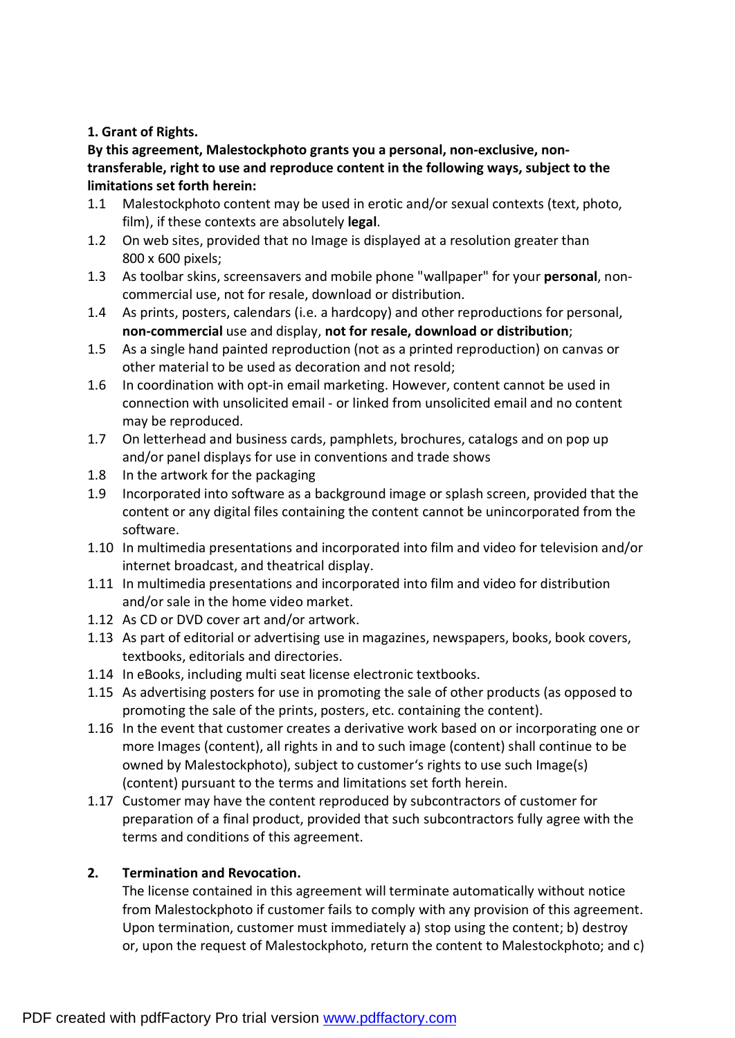# **1. Grant of Rights.**

**By this agreement, Malestockphoto grants you a personal, non-exclusive, nontransferable, right to use and reproduce content in the following ways, subject to the limitations set forth herein:** 

- 1.1 Malestockphoto content may be used in erotic and/or sexual contexts (text, photo, film), if these contexts are absolutely **legal**.
- 1.2 On web sites, provided that no Image is displayed at a resolution greater than 800 x 600 pixels;
- 1.3 As toolbar skins, screensavers and mobile phone "wallpaper" for your **personal**, noncommercial use, not for resale, download or distribution.
- 1.4 As prints, posters, calendars (i.e. a hardcopy) and other reproductions for personal, **non-commercial** use and display, **not for resale, download or distribution**;
- 1.5 As a single hand painted reproduction (not as a printed reproduction) on canvas or other material to be used as decoration and not resold;
- 1.6 In coordination with opt-in email marketing. However, content cannot be used in connection with unsolicited email - or linked from unsolicited email and no content may be reproduced.
- 1.7 On letterhead and business cards, pamphlets, brochures, catalogs and on pop up and/or panel displays for use in conventions and trade shows
- 1.8 In the artwork for the packaging
- 1.9 Incorporated into software as a background image or splash screen, provided that the content or any digital files containing the content cannot be unincorporated from the software.
- 1.10 In multimedia presentations and incorporated into film and video for television and/or internet broadcast, and theatrical display.
- 1.11 In multimedia presentations and incorporated into film and video for distribution and/or sale in the home video market.
- 1.12 As CD or DVD cover art and/or artwork.
- 1.13 As part of editorial or advertising use in magazines, newspapers, books, book covers, textbooks, editorials and directories.
- 1.14 In eBooks, including multi seat license electronic textbooks.
- 1.15 As advertising posters for use in promoting the sale of other products (as opposed to promoting the sale of the prints, posters, etc. containing the content).
- 1.16 In the event that customer creates a derivative work based on or incorporating one or more Images (content), all rights in and to such image (content) shall continue to be owned by Malestockphoto), subject to customer's rights to use such Image(s) (content) pursuant to the terms and limitations set forth herein.
- 1.17 Customer may have the content reproduced by subcontractors of customer for preparation of a final product, provided that such subcontractors fully agree with the terms and conditions of this agreement.

# **2. Termination and Revocation.**

The license contained in this agreement will terminate automatically without notice from Malestockphoto if customer fails to comply with any provision of this agreement. Upon termination, customer must immediately a) stop using the content; b) destroy or, upon the request of Malestockphoto, return the content to Malestockphoto; and c)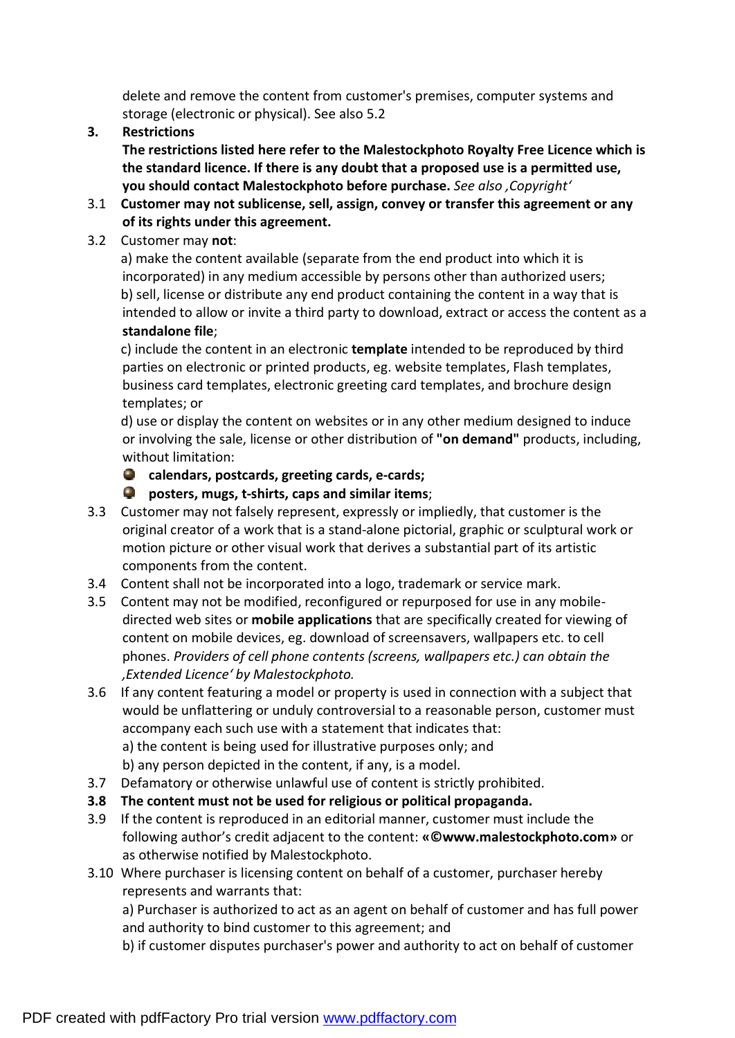delete and remove the content from customer's premises, computer systems and storage (electronic or physical). See also 5.2

**3. Restrictions** 

**The restrictions listed here refer to the Malestockphoto Royalty Free Licence which is the standard licence. If there is any doubt that a proposed use is a permitted use, you should contact Malestockphoto before purchase.** *See also 'Copyright'*

- 3.1 **Customer may not sublicense, sell, assign, convey or transfer this agreement or any of its rights under this agreement.**
- 3.2 Customer may **not**:

a) make the content available (separate from the end product into which it is incorporated) in any medium accessible by persons other than authorized users; b) sell, license or distribute any end product containing the content in a way that is intended to allow or invite a third party to download, extract or access the content as a **standalone file**;

c) include the content in an electronic **template** intended to be reproduced by third parties on electronic or printed products, eg. website templates, Flash templates, business card templates, electronic greeting card templates, and brochure design templates; or

d) use or display the content on websites or in any other medium designed to induce or involving the sale, license or other distribution of **"on demand"** products, including, without limitation:

**calendars, postcards, greeting cards, e-cards;**

**posters, mugs, t-shirts, caps and similar items**;

- 3.3 Customer may not falsely represent, expressly or impliedly, that customer is the original creator of a work that is a stand-alone pictorial, graphic or sculptural work or motion picture or other visual work that derives a substantial part of its artistic components from the content.
- 3.4 Content shall not be incorporated into a logo, trademark or service mark.
- 3.5 Content may not be modified, reconfigured or repurposed for use in any mobiledirected web sites or **mobile applications** that are specifically created for viewing of content on mobile devices, eg. download of screensavers, wallpapers etc. to cell phones. *Providers of cell phone contents (screens, wallpapers etc.) can obtain the 'Extended Licence' by Malestockphoto.*
- 3.6 If any content featuring a model or property is used in connection with a subject that would be unflattering or unduly controversial to a reasonable person, customer must accompany each such use with a statement that indicates that: a) the content is being used for illustrative purposes only; and
	- b) any person depicted in the content, if any, is a model.
- 3.7 Defamatory or otherwise unlawful use of content is strictly prohibited.
- **3.8 The content must not be used for religious or political propaganda.**
- 3.9 If the content is reproduced in an editorial manner, customer must include the following author's credit adjacent to the content: **«©www.malestockphoto.com»** or as otherwise notified by Malestockphoto.
- 3.10 Where purchaser is licensing content on behalf of a customer, purchaser hereby represents and warrants that:

a) Purchaser is authorized to act as an agent on behalf of customer and has full power and authority to bind customer to this agreement; and

b) if customer disputes purchaser's power and authority to act on behalf of customer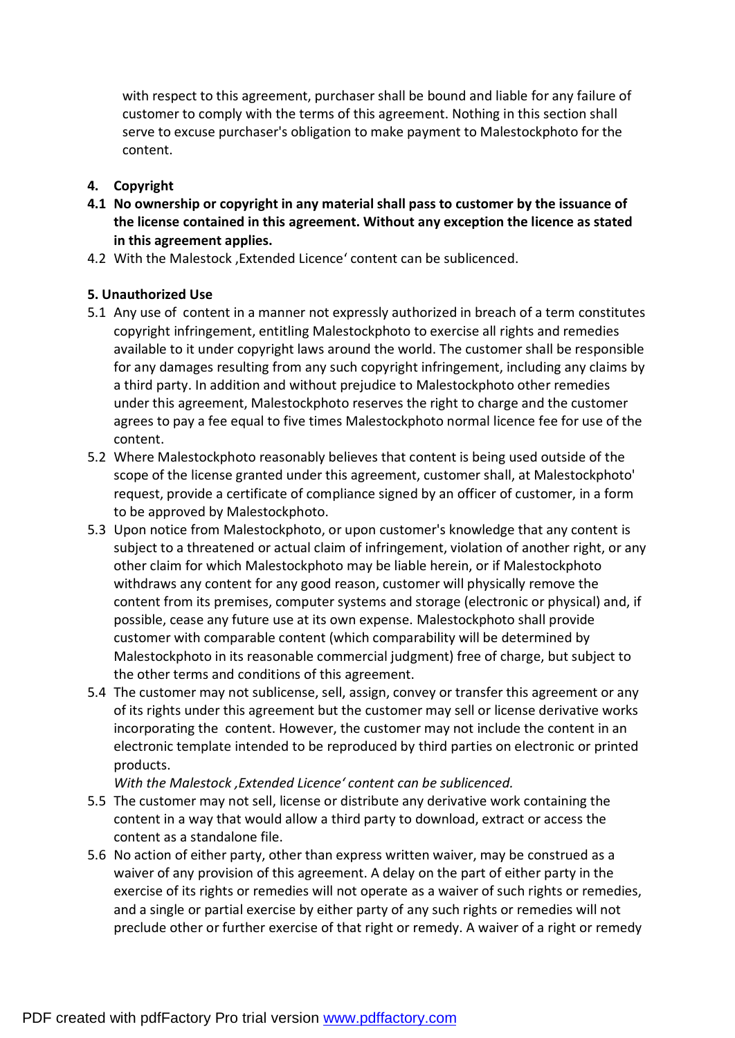with respect to this agreement, purchaser shall be bound and liable for any failure of customer to comply with the terms of this agreement. Nothing in this section shall serve to excuse purchaser's obligation to make payment to Malestockphoto for the content.

## **4. Copyright**

- **4.1 No ownership or copyright in any material shall pass to customer by the issuance of the license contained in this agreement. Without any exception the licence as stated in this agreement applies.**
- 4.2 With the Malestock , Extended Licence' content can be sublicenced.

# **5. Unauthorized Use**

- 5.1 Any use of content in a manner not expressly authorized in breach of a term constitutes copyright infringement, entitling Malestockphoto to exercise all rights and remedies available to it under copyright laws around the world. The customer shall be responsible for any damages resulting from any such copyright infringement, including any claims by a third party. In addition and without prejudice to Malestockphoto other remedies under this agreement, Malestockphoto reserves the right to charge and the customer agrees to pay a fee equal to five times Malestockphoto normal licence fee for use of the content.
- 5.2 Where Malestockphoto reasonably believes that content is being used outside of the scope of the license granted under this agreement, customer shall, at Malestockphoto' request, provide a certificate of compliance signed by an officer of customer, in a form to be approved by Malestockphoto.
- 5.3 Upon notice from Malestockphoto, or upon customer's knowledge that any content is subject to a threatened or actual claim of infringement, violation of another right, or any other claim for which Malestockphoto may be liable herein, or if Malestockphoto withdraws any content for any good reason, customer will physically remove the content from its premises, computer systems and storage (electronic or physical) and, if possible, cease any future use at its own expense. Malestockphoto shall provide customer with comparable content (which comparability will be determined by Malestockphoto in its reasonable commercial judgment) free of charge, but subject to the other terms and conditions of this agreement.
- 5.4 The customer may not sublicense, sell, assign, convey or transfer this agreement or any of its rights under this agreement but the customer may sell or license derivative works incorporating the content. However, the customer may not include the content in an electronic template intended to be reproduced by third parties on electronic or printed products.

*With the Malestock 'Extended Licence' content can be sublicenced.*

- 5.5 The customer may not sell, license or distribute any derivative work containing the content in a way that would allow a third party to download, extract or access the content as a standalone file.
- 5.6 No action of either party, other than express written waiver, may be construed as a waiver of any provision of this agreement. A delay on the part of either party in the exercise of its rights or remedies will not operate as a waiver of such rights or remedies, and a single or partial exercise by either party of any such rights or remedies will not preclude other or further exercise of that right or remedy. A waiver of a right or remedy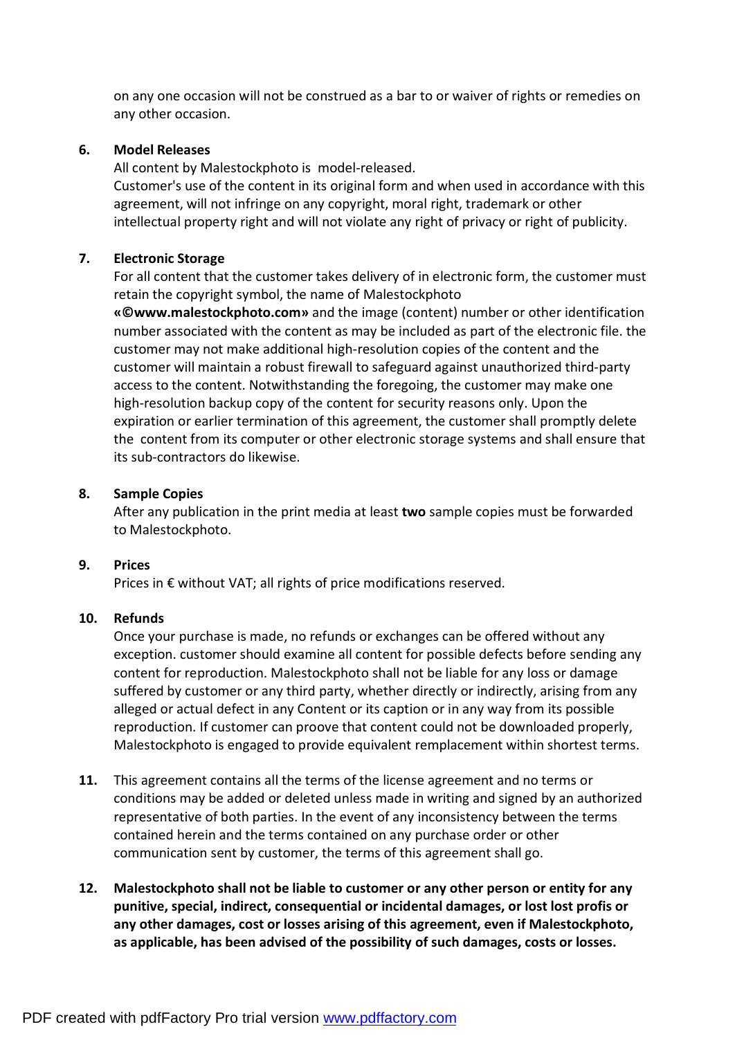on any one occasion will not be construed as a bar to or waiver of rights or remedies on any other occasion.

### **6. Model Releases**

All content by Malestockphoto is model-released.

Customer's use of the content in its original form and when used in accordance with this agreement, will not infringe on any copyright, moral right, trademark or other intellectual property right and will not violate any right of privacy or right of publicity.

#### **7. Electronic Storage**

For all content that the customer takes delivery of in electronic form, the customer must retain the copyright symbol, the name of Malestockphoto

**«©www.malestockphoto.com»** and the image (content) number or other identification number associated with the content as may be included as part of the electronic file. the customer may not make additional high-resolution copies of the content and the customer will maintain a robust firewall to safeguard against unauthorized third-party access to the content. Notwithstanding the foregoing, the customer may make one high-resolution backup copy of the content for security reasons only. Upon the expiration or earlier termination of this agreement, the customer shall promptly delete the content from its computer or other electronic storage systems and shall ensure that its sub-contractors do likewise.

#### **8. Sample Copies**

After any publication in the print media at least **two** sample copies must be forwarded to Malestockphoto.

#### **9. Prices**

Prices in € without VAT; all rights of price modifications reserved.

### **10. Refunds**

Once your purchase is made, no refunds or exchanges can be offered without any exception. customer should examine all content for possible defects before sending any content for reproduction. Malestockphoto shall not be liable for any loss or damage suffered by customer or any third party, whether directly or indirectly, arising from any alleged or actual defect in any Content or its caption or in any way from its possible reproduction. If customer can proove that content could not be downloaded properly, Malestockphoto is engaged to provide equivalent remplacement within shortest terms.

- **11.** This agreement contains all the terms of the license agreement and no terms or conditions may be added or deleted unless made in writing and signed by an authorized representative of both parties. In the event of any inconsistency between the terms contained herein and the terms contained on any purchase order or other communication sent by customer, the terms of this agreement shall go.
- **12. Malestockphoto shall not be liable to customer or any other person or entity for any punitive, special, indirect, consequential or incidental damages, or lost lost profis or any other damages, cost or losses arising of this agreement, even if Malestockphoto, as applicable, has been advised of the possibility of such damages, costs or losses.**